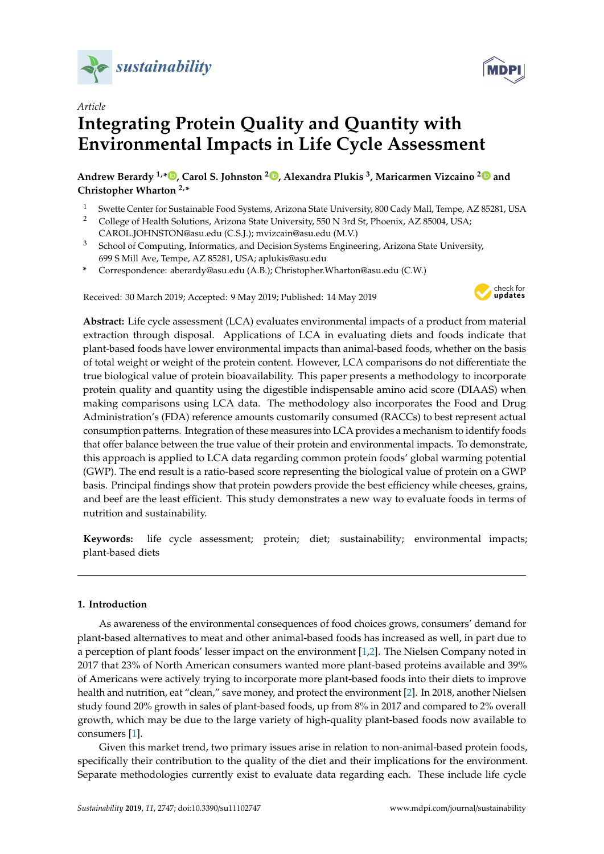



# *Article* **Integrating Protein Quality and Quantity with Environmental Impacts in Life Cycle Assessment**

**Andrew Berardy 1,[\\*](https://orcid.org/0000-0002-0559-531X) , Carol S. Johnston <sup>2</sup> [,](https://orcid.org/0000-0001-9540-6860) Alexandra Plukis <sup>3</sup> , Maricarmen Vizcaino [2](https://orcid.org/0000-0002-3975-1907) and Christopher Wharton 2,\***

- 1 Swette Center for Sustainable Food Systems, Arizona State University, 800 Cady Mall, Tempe, AZ 85281, USA<br>2 Cellses of Harlth Salutians, Arizona State University, 550 N 2rd St. Phasniu, AZ 85004, USA.
- <sup>2</sup> College of Health Solutions, Arizona State University, 550 N 3rd St, Phoenix, AZ 85004, USA; CAROL.JOHNSTON@asu.edu (C.S.J.); mvizcain@asu.edu (M.V.)
- <sup>3</sup> School of Computing, Informatics, and Decision Systems Engineering, Arizona State University, 699 S Mill Ave, Tempe, AZ 85281, USA; aplukis@asu.edu
- **\*** Correspondence: aberardy@asu.edu (A.B.); Christopher.Wharton@asu.edu (C.W.)

Received: 30 March 2019; Accepted: 9 May 2019; Published: 14 May 2019



**Abstract:** Life cycle assessment (LCA) evaluates environmental impacts of a product from material extraction through disposal. Applications of LCA in evaluating diets and foods indicate that plant-based foods have lower environmental impacts than animal-based foods, whether on the basis of total weight or weight of the protein content. However, LCA comparisons do not differentiate the true biological value of protein bioavailability. This paper presents a methodology to incorporate protein quality and quantity using the digestible indispensable amino acid score (DIAAS) when making comparisons using LCA data. The methodology also incorporates the Food and Drug Administration's (FDA) reference amounts customarily consumed (RACCs) to best represent actual consumption patterns. Integration of these measures into LCA provides a mechanism to identify foods that offer balance between the true value of their protein and environmental impacts. To demonstrate, this approach is applied to LCA data regarding common protein foods' global warming potential (GWP). The end result is a ratio-based score representing the biological value of protein on a GWP basis. Principal findings show that protein powders provide the best efficiency while cheeses, grains, and beef are the least efficient. This study demonstrates a new way to evaluate foods in terms of nutrition and sustainability.

**Keywords:** life cycle assessment; protein; diet; sustainability; environmental impacts; plant-based diets

## **1. Introduction**

As awareness of the environmental consequences of food choices grows, consumers' demand for plant-based alternatives to meat and other animal-based foods has increased as well, in part due to a perception of plant foods' lesser impact on the environment [\[1](#page-8-0)[,2\]](#page-8-1). The Nielsen Company noted in 2017 that 23% of North American consumers wanted more plant-based proteins available and 39% of Americans were actively trying to incorporate more plant-based foods into their diets to improve health and nutrition, eat "clean," save money, and protect the environment [\[2\]](#page-8-1). In 2018, another Nielsen study found 20% growth in sales of plant-based foods, up from 8% in 2017 and compared to 2% overall growth, which may be due to the large variety of high-quality plant-based foods now available to consumers [\[1\]](#page-8-0).

Given this market trend, two primary issues arise in relation to non-animal-based protein foods, specifically their contribution to the quality of the diet and their implications for the environment. Separate methodologies currently exist to evaluate data regarding each. These include life cycle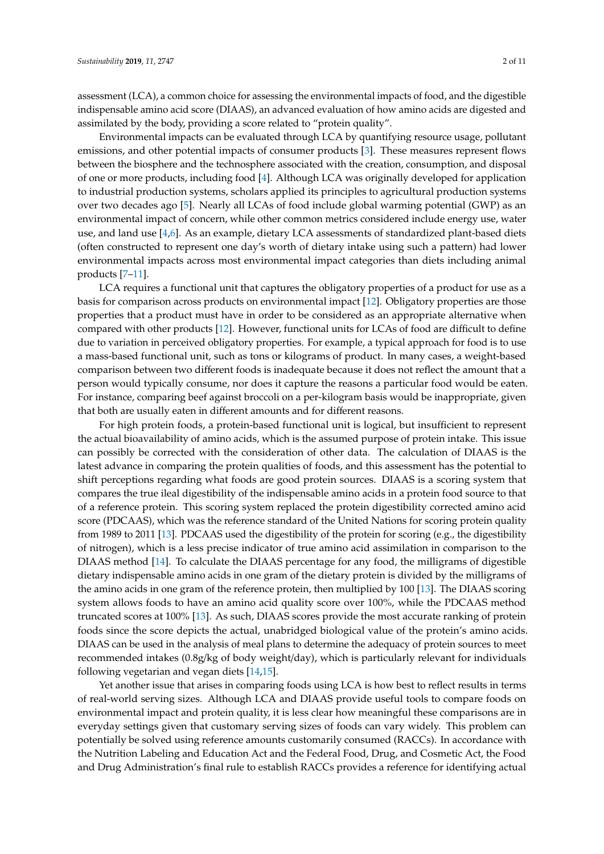assessment (LCA), a common choice for assessing the environmental impacts of food, and the digestible indispensable amino acid score (DIAAS), an advanced evaluation of how amino acids are digested and assimilated by the body, providing a score related to "protein quality".

Environmental impacts can be evaluated through LCA by quantifying resource usage, pollutant emissions, and other potential impacts of consumer products [\[3\]](#page-8-2). These measures represent flows between the biosphere and the technosphere associated with the creation, consumption, and disposal of one or more products, including food [\[4\]](#page-8-3). Although LCA was originally developed for application to industrial production systems, scholars applied its principles to agricultural production systems over two decades ago [\[5\]](#page-8-4). Nearly all LCAs of food include global warming potential (GWP) as an environmental impact of concern, while other common metrics considered include energy use, water use, and land use [\[4](#page-8-3)[,6\]](#page-8-5). As an example, dietary LCA assessments of standardized plant-based diets (often constructed to represent one day's worth of dietary intake using such a pattern) had lower environmental impacts across most environmental impact categories than diets including animal products [\[7](#page-8-6)[–11\]](#page-8-7).

LCA requires a functional unit that captures the obligatory properties of a product for use as a basis for comparison across products on environmental impact [\[12\]](#page-8-8). Obligatory properties are those properties that a product must have in order to be considered as an appropriate alternative when compared with other products [\[12\]](#page-8-8). However, functional units for LCAs of food are difficult to define due to variation in perceived obligatory properties. For example, a typical approach for food is to use a mass-based functional unit, such as tons or kilograms of product. In many cases, a weight-based comparison between two different foods is inadequate because it does not reflect the amount that a person would typically consume, nor does it capture the reasons a particular food would be eaten. For instance, comparing beef against broccoli on a per-kilogram basis would be inappropriate, given that both are usually eaten in different amounts and for different reasons.

For high protein foods, a protein-based functional unit is logical, but insufficient to represent the actual bioavailability of amino acids, which is the assumed purpose of protein intake. This issue can possibly be corrected with the consideration of other data. The calculation of DIAAS is the latest advance in comparing the protein qualities of foods, and this assessment has the potential to shift perceptions regarding what foods are good protein sources. DIAAS is a scoring system that compares the true ileal digestibility of the indispensable amino acids in a protein food source to that of a reference protein. This scoring system replaced the protein digestibility corrected amino acid score (PDCAAS), which was the reference standard of the United Nations for scoring protein quality from 1989 to 2011 [\[13\]](#page-8-9). PDCAAS used the digestibility of the protein for scoring (e.g., the digestibility of nitrogen), which is a less precise indicator of true amino acid assimilation in comparison to the DIAAS method [\[14\]](#page-8-10). To calculate the DIAAS percentage for any food, the milligrams of digestible dietary indispensable amino acids in one gram of the dietary protein is divided by the milligrams of the amino acids in one gram of the reference protein, then multiplied by 100 [\[13\]](#page-8-9). The DIAAS scoring system allows foods to have an amino acid quality score over 100%, while the PDCAAS method truncated scores at 100% [\[13\]](#page-8-9). As such, DIAAS scores provide the most accurate ranking of protein foods since the score depicts the actual, unabridged biological value of the protein's amino acids. DIAAS can be used in the analysis of meal plans to determine the adequacy of protein sources to meet recommended intakes (0.8g/kg of body weight/day), which is particularly relevant for individuals following vegetarian and vegan diets [\[14,](#page-8-10)[15\]](#page-8-11).

Yet another issue that arises in comparing foods using LCA is how best to reflect results in terms of real-world serving sizes. Although LCA and DIAAS provide useful tools to compare foods on environmental impact and protein quality, it is less clear how meaningful these comparisons are in everyday settings given that customary serving sizes of foods can vary widely. This problem can potentially be solved using reference amounts customarily consumed (RACCs). In accordance with the Nutrition Labeling and Education Act and the Federal Food, Drug, and Cosmetic Act, the Food and Drug Administration's final rule to establish RACCs provides a reference for identifying actual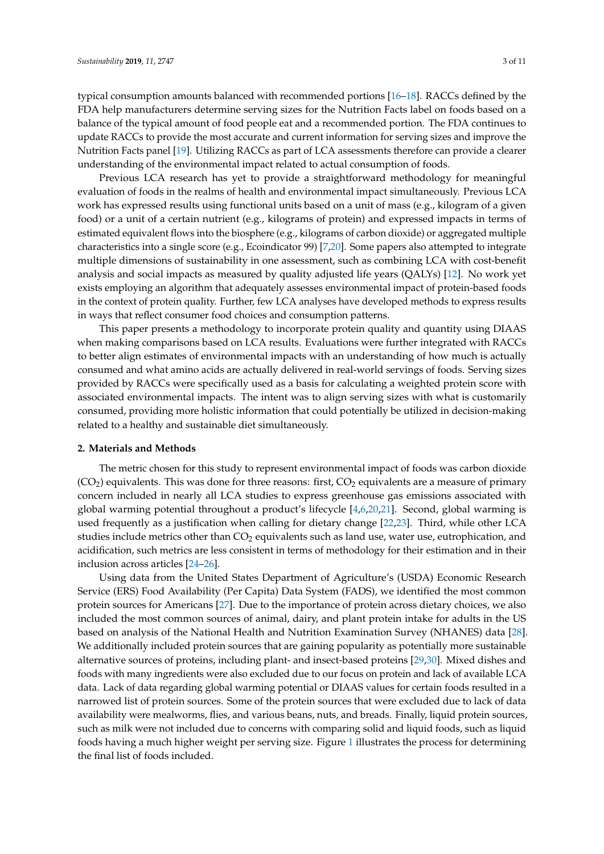update RACCs to provide the most accurate and current information for serving sizes and improve the Nutrition Facts panel [\[19\]](#page-9-0). Utilizing RACCs as part of LCA assessments therefore can provide a clearer understanding of the environmental impact related to actual consumption of foods.

Previous LCA research has yet to provide a straightforward methodology for meaningful evaluation of foods in the realms of health and environmental impact simultaneously. Previous LCA work has expressed results using functional units based on a unit of mass (e.g., kilogram of a given food) or a unit of a certain nutrient (e.g., kilograms of protein) and expressed impacts in terms of estimated equivalent flows into the biosphere (e.g., kilograms of carbon dioxide) or aggregated multiple characteristics into a single score (e.g., Ecoindicator 99) [\[7](#page-8-6)[,20\]](#page-9-1). Some papers also attempted to integrate multiple dimensions of sustainability in one assessment, such as combining LCA with cost-benefit analysis and social impacts as measured by quality adjusted life years (QALYs) [\[12\]](#page-8-8). No work yet exists employing an algorithm that adequately assesses environmental impact of protein-based foods in the context of protein quality. Further, few LCA analyses have developed methods to express results in ways that reflect consumer food choices and consumption patterns.

This paper presents a methodology to incorporate protein quality and quantity using DIAAS when making comparisons based on LCA results. Evaluations were further integrated with RACCs to better align estimates of environmental impacts with an understanding of how much is actually consumed and what amino acids are actually delivered in real-world servings of foods. Serving sizes provided by RACCs were specifically used as a basis for calculating a weighted protein score with associated environmental impacts. The intent was to align serving sizes with what is customarily consumed, providing more holistic information that could potentially be utilized in decision-making related to a healthy and sustainable diet simultaneously.

#### **2. Materials and Methods**

The metric chosen for this study to represent environmental impact of foods was carbon dioxide  $(CO<sub>2</sub>)$  equivalents. This was done for three reasons: first,  $CO<sub>2</sub>$  equivalents are a measure of primary concern included in nearly all LCA studies to express greenhouse gas emissions associated with global warming potential throughout a product's lifecycle [\[4,](#page-8-3)[6,](#page-8-5)[20,](#page-9-1)[21\]](#page-9-2). Second, global warming is used frequently as a justification when calling for dietary change [\[22,](#page-9-3)[23\]](#page-9-4). Third, while other LCA studies include metrics other than  $CO<sub>2</sub>$  equivalents such as land use, water use, eutrophication, and acidification, such metrics are less consistent in terms of methodology for their estimation and in their inclusion across articles [\[24](#page-9-5)[–26\]](#page-9-6).

Using data from the United States Department of Agriculture's (USDA) Economic Research Service (ERS) Food Availability (Per Capita) Data System (FADS), we identified the most common protein sources for Americans [\[27\]](#page-9-7). Due to the importance of protein across dietary choices, we also included the most common sources of animal, dairy, and plant protein intake for adults in the US based on analysis of the National Health and Nutrition Examination Survey (NHANES) data [\[28\]](#page-9-8). We additionally included protein sources that are gaining popularity as potentially more sustainable alternative sources of proteins, including plant- and insect-based proteins [\[29,](#page-9-9)[30\]](#page-9-10). Mixed dishes and foods with many ingredients were also excluded due to our focus on protein and lack of available LCA data. Lack of data regarding global warming potential or DIAAS values for certain foods resulted in a narrowed list of protein sources. Some of the protein sources that were excluded due to lack of data availability were mealworms, flies, and various beans, nuts, and breads. Finally, liquid protein sources, such as milk were not included due to concerns with comparing solid and liquid foods, such as liquid foods having a much higher weight per serving size. Figure [1](#page-3-0) illustrates the process for determining the final list of foods included.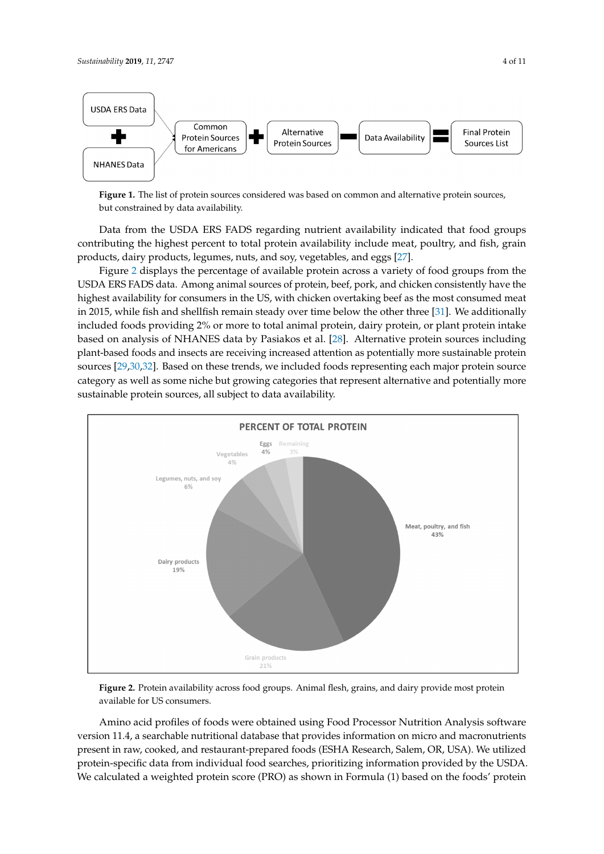

<span id="page-3-0"></span>*Sustainability* **2019**, *11*, x FOR PEER REVIEW 4 of 11

**Figure 1.** The list of protein sources considered was based on common and alternative protein sources,<br>but constrained by data availability. but constrained by data availability. but constrained by data availability.

Data from the USDA ERS FADS regarding nutrient availability indicated that food groups Data from the USDA ERS FADS regarding nutrient availability indicated that food groups contributing the highest percent to total protein availability include meat, poultry, and fish, grain products, dairy products, legumes, nuts, and soy, vegetables, and eggs [\[27\]](#page-9-7).

Figure [2](#page-3-1) displays the percentage of available protein across a variety of food groups from the USDA ERS FADS data. Among animal sources of protein, beef, pork, and chicken consistently have the highest availability for consumers in the US, with chicken overtaking beef as the most consumed meat in 2015, while fish and shellfish remain steady over time below the other three [\[31\]](#page-9-11). We additionally included foods providing 2% or more to total animal protein, dairy protein, or plant protein intake based on analysis of NHANES data by Pasiakos et al. [\[28\]](#page-9-8). Alternative protein sources including plant-based foods and insects are receiving increased attention as potentially more sustainable protein sources [\[29](#page-9-9)[,30](#page-9-10)[,32\]](#page-9-12). Based on these trends, we included foods representing each major protein source category as well as some niche but growing categories that represent alternative and potentially more sustainable protein sources, all subject to data availability. additional providing 2% or more to total animal protein, dairy protein, or plant protein main

<span id="page-3-1"></span>

available for US consumers. **Animal flesh, grains**, and dairy protein most provide most provide most protein most provide most provide most provide most provide most protein most provide most provide most provide most prov **Figure 2.** Protein availability across food groups. Animal flesh, grains, and dairy provide most protein **Figure 2.** Protein availability across food groups. Animal flesh, grains, and dairy provide most protein

version 11.4, a searchable nutritional database that provides information on micro and macronutrients present in raw, cooked, and restaurant-prepared foods (ESHA Research, Salem, OR, USA). We utilized protein-specific data from individual food searches, prioritizing information provided by the USDA. We calculated a weighted protein score (PRO) as shown in Formula (1) based on the foods' protein Amino acid profiles of foods were obtained using Food Processor Nutrition Analysis software Amino acid profiles of foods were obtained using Food Processor Nutrition Analysis software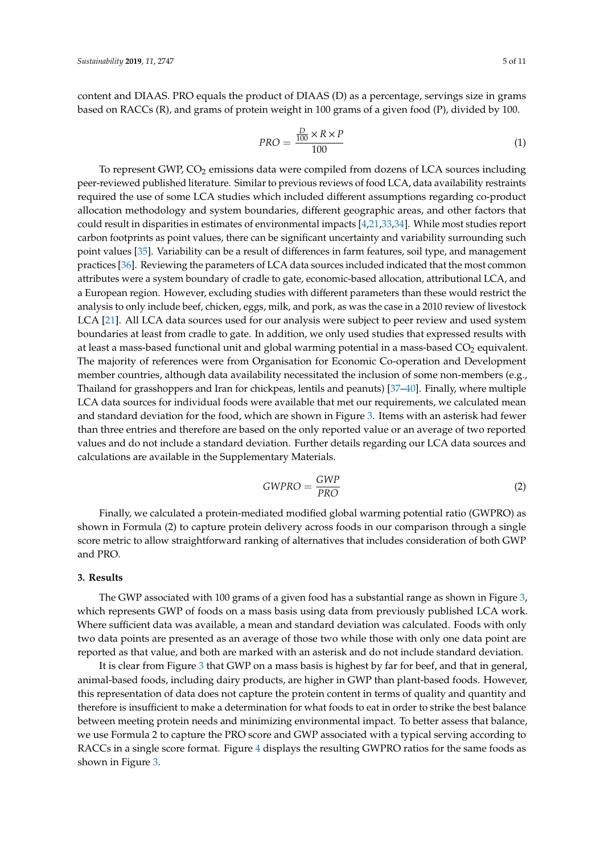content and DIAAS. PRO equals the product of DIAAS (D) as a percentage, servings size in grams based on RACCs (R), and grams of protein weight in 100 grams of a given food (P), divided by 100.

$$
PRO = \frac{\frac{D}{100} \times R \times P}{100}
$$
 (1)

To represent GWP,  $CO<sub>2</sub>$  emissions data were compiled from dozens of LCA sources including peer-reviewed published literature. Similar to previous reviews of food LCA, data availability restraints required the use of some LCA studies which included different assumptions regarding co-product allocation methodology and system boundaries, different geographic areas, and other factors that could result in disparities in estimates of environmental impacts [\[4](#page-8-3)[,21](#page-9-2)[,33,](#page-9-13)[34\]](#page-9-14). While most studies report carbon footprints as point values, there can be significant uncertainty and variability surrounding such point values [\[35\]](#page-9-15). Variability can be a result of differences in farm features, soil type, and management practices [\[36\]](#page-9-16). Reviewing the parameters of LCA data sources included indicated that the most common attributes were a system boundary of cradle to gate, economic-based allocation, attributional LCA, and a European region. However, excluding studies with different parameters than these would restrict the analysis to only include beef, chicken, eggs, milk, and pork, as was the case in a 2010 review of livestock LCA [\[21\]](#page-9-2). All LCA data sources used for our analysis were subject to peer review and used system boundaries at least from cradle to gate. In addition, we only used studies that expressed results with at least a mass-based functional unit and global warming potential in a mass-based  $CO<sub>2</sub>$  equivalent. The majority of references were from Organisation for Economic Co-operation and Development member countries, although data availability necessitated the inclusion of some non-members (e.g., Thailand for grasshoppers and Iran for chickpeas, lentils and peanuts) [\[37–](#page-9-17)[40\]](#page-10-0). Finally, where multiple LCA data sources for individual foods were available that met our requirements, we calculated mean and standard deviation for the food, which are shown in Figure [3.](#page-5-0) Items with an asterisk had fewer than three entries and therefore are based on the only reported value or an average of two reported values and do not include a standard deviation. Further details regarding our LCA data sources and calculations are available in the Supplementary Materials.

$$
GWPRO = \frac{GWP}{PRO}
$$
 (2)

Finally, we calculated a protein-mediated modified global warming potential ratio (GWPRO) as shown in Formula (2) to capture protein delivery across foods in our comparison through a single score metric to allow straightforward ranking of alternatives that includes consideration of both GWP and PRO.

### **3. Results**

The GWP associated with 100 grams of a given food has a substantial range as shown in Figure [3,](#page-5-0) which represents GWP of foods on a mass basis using data from previously published LCA work. Where sufficient data was available, a mean and standard deviation was calculated. Foods with only two data points are presented as an average of those two while those with only one data point are reported as that value, and both are marked with an asterisk and do not include standard deviation.

It is clear from Figure [3](#page-5-0) that GWP on a mass basis is highest by far for beef, and that in general, animal-based foods, including dairy products, are higher in GWP than plant-based foods. However, this representation of data does not capture the protein content in terms of quality and quantity and therefore is insufficient to make a determination for what foods to eat in order to strike the best balance between meeting protein needs and minimizing environmental impact. To better assess that balance, we use Formula 2 to capture the PRO score and GWP associated with a typical serving according to RACCs in a single score format. Figure [4](#page-6-0) displays the resulting GWPRO ratios for the same foods as shown in Figure [3.](#page-5-0)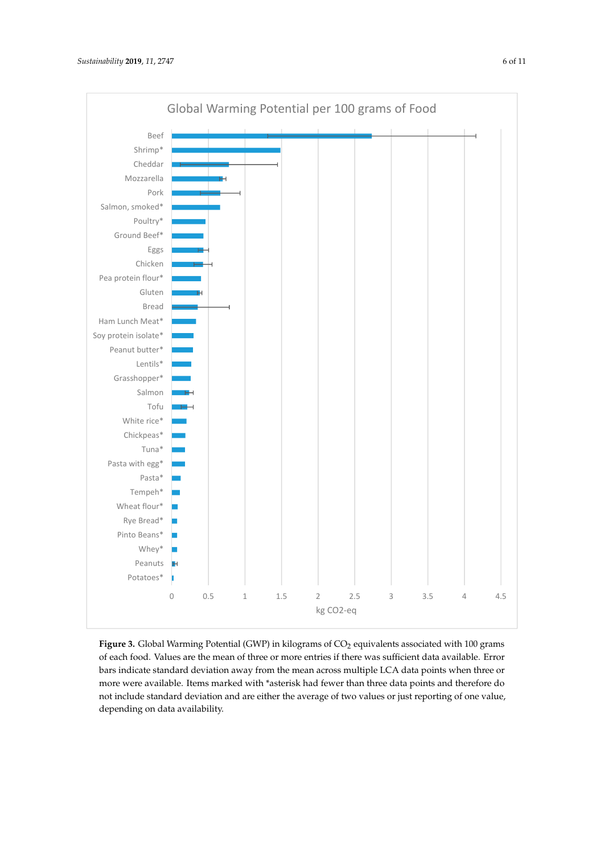<span id="page-5-0"></span>

Figure 3. Global Warming Potential (GWP) in kilograms of CO<sub>2</sub> equivalents associated with 100 grams of each food. Values are the mean of three or more entries if there was sufficient data available. Error of each food. Values are the mean of three or more entries if there was sufficient data available. Error bars indicate standard deviation away from the mean across multiple LCA data points when three or bars indicate standard deviation away from the mean across multiple LCA data points when three or more were available. Items marked with \*asterisk had fewer than three data points and therefore do more were available. Items marked with \*asterisk had fewer than three data points and therefore do not include standard deviation and are either the average of two values or just reporting of one value, not include standard deviation and are either the average of two values or just reporting of one value, depending on data availability. depending on data availability.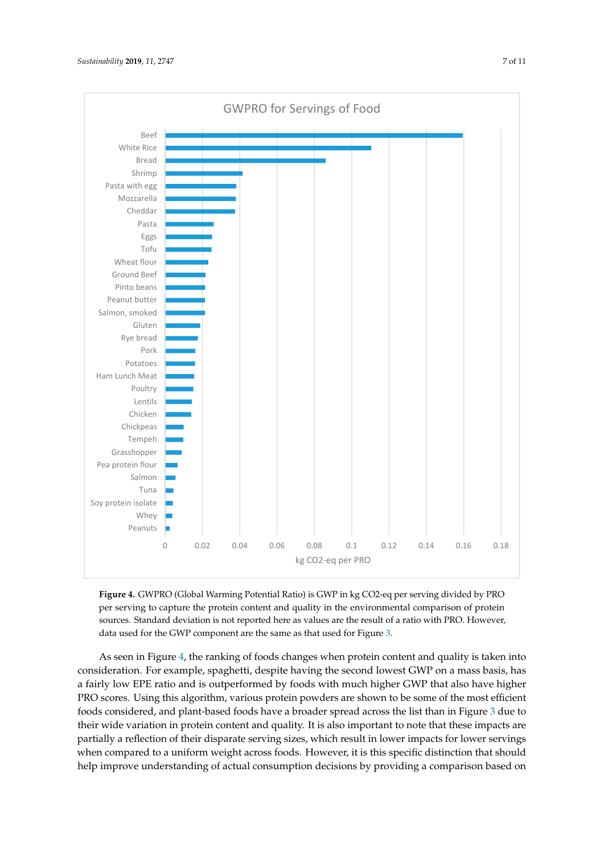<span id="page-6-0"></span>

**Figure 4.** GWPRO (Global Warming Potential Ratio) is GWP in kg CO2-eq per serving divided by **Figure 4.** GWPRO (Global Warming Potential Ratio) is GWP in kg CO2-eq per serving divided by PRO per serving to capture the protein content and quality in the environmental comparison of protein sources. Standard deviation is not reported here as values are the result of a ratio with PRO. However, data used for the GWP component are the same as that used for Figure [3.](#page-5-0)

As seen in Figur[e 4](#page-6-0), the ranking of foods changes when protein content and quality is taken into As seen in Figure 4, the ranking of foods changes when protein content and quality is taken into consideration. For example, spaghetti, despite having the second lowest GWP on a mass basis, has a fairly low EPE ratio and is outperformed by foods with much higher GWP that also have higher PRO scores. Using this algorithm, various protein powders are shown to be some of the most efficient foods considered, and plant-based foods have a broader spread across the list than in Figure 3 due to foods considered, and plant-based foods have a broader spread across the list than in Figure [3](#page-5-0) due to their wide variation in protein content and quality. It is also important to note that these impacts are their wide variation in protein content and quality. It is also important to note that these impacts are partially a reflection of their disparate serving sizes, which result in lower impacts for lower servings when compared to a uniform weight across foods. However, it is this specific distinction that should help improve understanding of actual consumption decisions by providing a comparison based on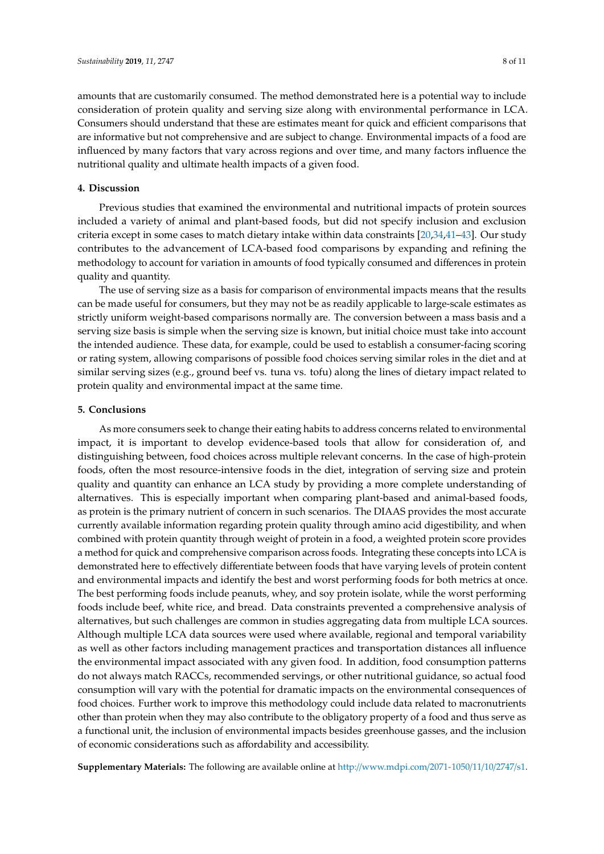amounts that are customarily consumed. The method demonstrated here is a potential way to include consideration of protein quality and serving size along with environmental performance in LCA. Consumers should understand that these are estimates meant for quick and efficient comparisons that are informative but not comprehensive and are subject to change. Environmental impacts of a food are influenced by many factors that vary across regions and over time, and many factors influence the nutritional quality and ultimate health impacts of a given food.

## **4. Discussion**

Previous studies that examined the environmental and nutritional impacts of protein sources included a variety of animal and plant-based foods, but did not specify inclusion and exclusion criteria except in some cases to match dietary intake within data constraints [\[20,](#page-9-1)[34,](#page-9-14)[41–](#page-10-1)[43\]](#page-10-2). Our study contributes to the advancement of LCA-based food comparisons by expanding and refining the methodology to account for variation in amounts of food typically consumed and differences in protein quality and quantity.

The use of serving size as a basis for comparison of environmental impacts means that the results can be made useful for consumers, but they may not be as readily applicable to large-scale estimates as strictly uniform weight-based comparisons normally are. The conversion between a mass basis and a serving size basis is simple when the serving size is known, but initial choice must take into account the intended audience. These data, for example, could be used to establish a consumer-facing scoring or rating system, allowing comparisons of possible food choices serving similar roles in the diet and at similar serving sizes (e.g., ground beef vs. tuna vs. tofu) along the lines of dietary impact related to protein quality and environmental impact at the same time.

## **5. Conclusions**

As more consumers seek to change their eating habits to address concerns related to environmental impact, it is important to develop evidence-based tools that allow for consideration of, and distinguishing between, food choices across multiple relevant concerns. In the case of high-protein foods, often the most resource-intensive foods in the diet, integration of serving size and protein quality and quantity can enhance an LCA study by providing a more complete understanding of alternatives. This is especially important when comparing plant-based and animal-based foods, as protein is the primary nutrient of concern in such scenarios. The DIAAS provides the most accurate currently available information regarding protein quality through amino acid digestibility, and when combined with protein quantity through weight of protein in a food, a weighted protein score provides a method for quick and comprehensive comparison across foods. Integrating these concepts into LCA is demonstrated here to effectively differentiate between foods that have varying levels of protein content and environmental impacts and identify the best and worst performing foods for both metrics at once. The best performing foods include peanuts, whey, and soy protein isolate, while the worst performing foods include beef, white rice, and bread. Data constraints prevented a comprehensive analysis of alternatives, but such challenges are common in studies aggregating data from multiple LCA sources. Although multiple LCA data sources were used where available, regional and temporal variability as well as other factors including management practices and transportation distances all influence the environmental impact associated with any given food. In addition, food consumption patterns do not always match RACCs, recommended servings, or other nutritional guidance, so actual food consumption will vary with the potential for dramatic impacts on the environmental consequences of food choices. Further work to improve this methodology could include data related to macronutrients other than protein when they may also contribute to the obligatory property of a food and thus serve as a functional unit, the inclusion of environmental impacts besides greenhouse gasses, and the inclusion of economic considerations such as affordability and accessibility.

**Supplementary Materials:** The following are available online at http://[www.mdpi.com](http://www.mdpi.com/2071-1050/11/10/2747/s1)/2071-1050/11/10/2747/s1.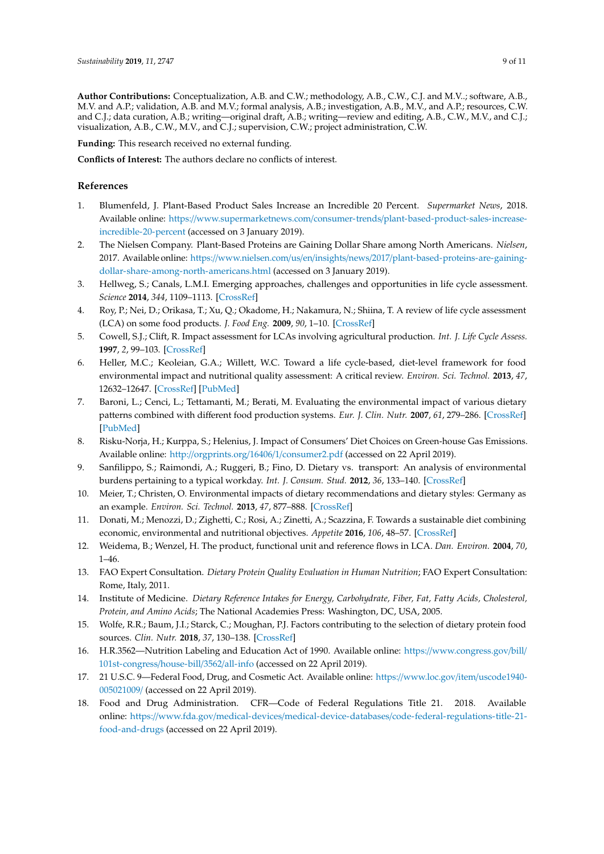**Author Contributions:** Conceptualization, A.B. and C.W.; methodology, A.B., C.W., C.J. and M.V..; software, A.B., M.V. and A.P.; validation, A.B. and M.V.; formal analysis, A.B.; investigation, A.B., M.V., and A.P.; resources, C.W. and C.J.; data curation, A.B.; writing—original draft, A.B.; writing—review and editing, A.B., C.W., M.V., and C.J.; visualization, A.B., C.W., M.V., and C.J.; supervision, C.W.; project administration, C.W.

**Funding:** This research received no external funding.

**Conflicts of Interest:** The authors declare no conflicts of interest.

## **References**

- <span id="page-8-0"></span>1. Blumenfeld, J. Plant-Based Product Sales Increase an Incredible 20 Percent. *Supermarket News*, 2018. Available online: https://www.supermarketnews.com/consumer-trends/[plant-based-product-sales-increase](https://www.supermarketnews.com/consumer-trends/plant-based-product-sales-increase-incredible-20-percent)[incredible-20-percent](https://www.supermarketnews.com/consumer-trends/plant-based-product-sales-increase-incredible-20-percent) (accessed on 3 January 2019).
- <span id="page-8-1"></span>2. The Nielsen Company. Plant-Based Proteins are Gaining Dollar Share among North Americans. *Nielsen*, 2017. Available online: https://www.nielsen.com/us/en/insights/news/2017/[plant-based-proteins-are-gaining](https://www.nielsen.com/us/en/insights/news/2017/plant-based-proteins-are-gaining-dollar-share-among-north-americans.html)[dollar-share-among-north-americans.html](https://www.nielsen.com/us/en/insights/news/2017/plant-based-proteins-are-gaining-dollar-share-among-north-americans.html) (accessed on 3 January 2019).
- <span id="page-8-2"></span>3. Hellweg, S.; Canals, L.M.I. Emerging approaches, challenges and opportunities in life cycle assessment. *Science* **2014**, *344*, 1109–1113. [\[CrossRef\]](http://dx.doi.org/10.1126/science.1248361)
- <span id="page-8-3"></span>4. Roy, P.; Nei, D.; Orikasa, T.; Xu, Q.; Okadome, H.; Nakamura, N.; Shiina, T. A review of life cycle assessment (LCA) on some food products. *J. Food Eng.* **2009**, *90*, 1–10. [\[CrossRef\]](http://dx.doi.org/10.1016/j.jfoodeng.2008.06.016)
- <span id="page-8-4"></span>5. Cowell, S.J.; Clift, R. Impact assessment for LCAs involving agricultural production. *Int. J. Life Cycle Assess.* **1997**, *2*, 99–103. [\[CrossRef\]](http://dx.doi.org/10.1007/BF02978767)
- <span id="page-8-5"></span>6. Heller, M.C.; Keoleian, G.A.; Willett, W.C. Toward a life cycle-based, diet-level framework for food environmental impact and nutritional quality assessment: A critical review. *Environ. Sci. Technol.* **2013**, *47*, 12632–12647. [\[CrossRef\]](http://dx.doi.org/10.1021/es4025113) [\[PubMed\]](http://www.ncbi.nlm.nih.gov/pubmed/24152032)
- <span id="page-8-6"></span>7. Baroni, L.; Cenci, L.; Tettamanti, M.; Berati, M. Evaluating the environmental impact of various dietary patterns combined with different food production systems. *Eur. J. Clin. Nutr.* **2007**, *61*, 279–286. [\[CrossRef\]](http://dx.doi.org/10.1038/sj.ejcn.1602522) [\[PubMed\]](http://www.ncbi.nlm.nih.gov/pubmed/17035955)
- 8. Risku-Norja, H.; Kurppa, S.; Helenius, J. Impact of Consumers' Diet Choices on Green-house Gas Emissions. Available online: http://orgprints.org/16406/1/[consumer2.pdf](http://orgprints.org/16406/1/consumer2.pdf) (accessed on 22 April 2019).
- 9. Sanfilippo, S.; Raimondi, A.; Ruggeri, B.; Fino, D. Dietary vs. transport: An analysis of environmental burdens pertaining to a typical workday. *Int. J. Consum. Stud.* **2012**, *36*, 133–140. [\[CrossRef\]](http://dx.doi.org/10.1111/j.1470-6431.2011.01079.x)
- 10. Meier, T.; Christen, O. Environmental impacts of dietary recommendations and dietary styles: Germany as an example. *Environ. Sci. Technol.* **2013**, *47*, 877–888. [\[CrossRef\]](http://dx.doi.org/10.1021/es302152v)
- <span id="page-8-7"></span>11. Donati, M.; Menozzi, D.; Zighetti, C.; Rosi, A.; Zinetti, A.; Scazzina, F. Towards a sustainable diet combining economic, environmental and nutritional objectives. *Appetite* **2016**, *106*, 48–57. [\[CrossRef\]](http://dx.doi.org/10.1016/j.appet.2016.02.151)
- <span id="page-8-8"></span>12. Weidema, B.; Wenzel, H. The product, functional unit and reference flows in LCA. *Dan. Environ.* **2004**, *70*, 1–46.
- <span id="page-8-9"></span>13. FAO Expert Consultation. *Dietary Protein Quality Evaluation in Human Nutrition*; FAO Expert Consultation: Rome, Italy, 2011.
- <span id="page-8-10"></span>14. Institute of Medicine. *Dietary Reference Intakes for Energy, Carbohydrate, Fiber, Fat, Fatty Acids, Cholesterol, Protein, and Amino Acids*; The National Academies Press: Washington, DC, USA, 2005.
- <span id="page-8-11"></span>15. Wolfe, R.R.; Baum, J.I.; Starck, C.; Moughan, P.J. Factors contributing to the selection of dietary protein food sources. *Clin. Nutr.* **2018**, *37*, 130–138. [\[CrossRef\]](http://dx.doi.org/10.1016/j.clnu.2017.11.017)
- <span id="page-8-12"></span>16. H.R.3562—Nutrition Labeling and Education Act of 1990. Available online: https://[www.congress.gov](https://www.congress.gov/bill/101st-congress/house-bill/3562/all-info)/bill/ [101st-congress](https://www.congress.gov/bill/101st-congress/house-bill/3562/all-info)/house-bill/3562/all-info (accessed on 22 April 2019).
- 17. 21 U.S.C. 9—Federal Food, Drug, and Cosmetic Act. Available online: https://[www.loc.gov](https://www.loc.gov/item/uscode1940-005021009/)/item/uscode1940- [005021009](https://www.loc.gov/item/uscode1940-005021009/)/ (accessed on 22 April 2019).
- <span id="page-8-13"></span>18. Food and Drug Administration. CFR—Code of Federal Regulations Title 21. 2018. Available online: https://www.fda.gov/medical-devices/medical-device-databases/[code-federal-regulations-title-21](https://www.fda.gov/medical-devices/medical-device-databases/code-federal-regulations-title-21-food-and-drugs) [food-and-drugs](https://www.fda.gov/medical-devices/medical-device-databases/code-federal-regulations-title-21-food-and-drugs) (accessed on 22 April 2019).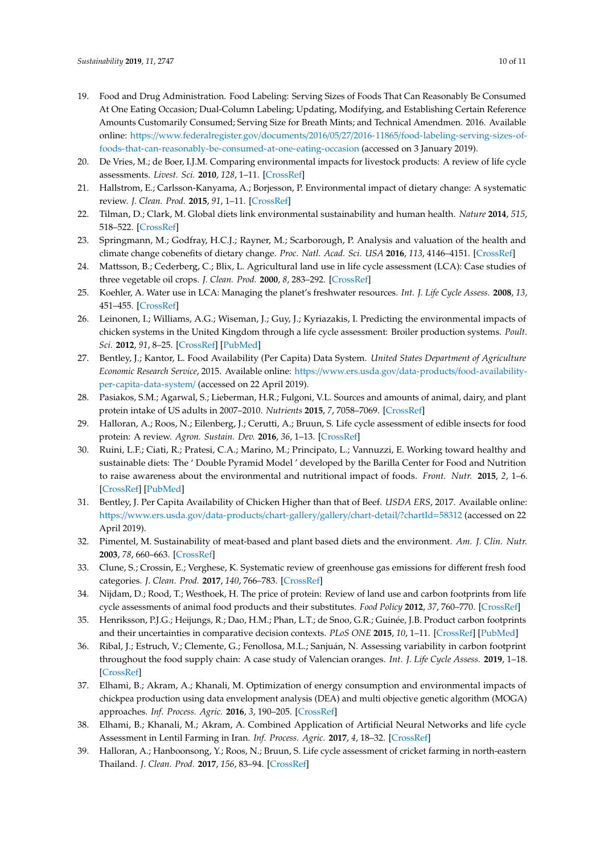- <span id="page-9-0"></span>19. Food and Drug Administration. Food Labeling: Serving Sizes of Foods That Can Reasonably Be Consumed At One Eating Occasion; Dual-Column Labeling; Updating, Modifying, and Establishing Certain Reference Amounts Customarily Consumed; Serving Size for Breath Mints; and Technical Amendmen. 2016. Available online: https://www.federalregister.gov/documents/2016/05/27/2016-11865/[food-labeling-serving-sizes-of](https://www.federalregister.gov/documents/2016/05/27/2016-11865/food-labeling-serving-sizes-of-foods-that-can-reasonably-be-consumed-at-one-eating-occasion)[foods-that-can-reasonably-be-consumed-at-one-eating-occasion](https://www.federalregister.gov/documents/2016/05/27/2016-11865/food-labeling-serving-sizes-of-foods-that-can-reasonably-be-consumed-at-one-eating-occasion) (accessed on 3 January 2019).
- <span id="page-9-1"></span>20. De Vries, M.; de Boer, I.J.M. Comparing environmental impacts for livestock products: A review of life cycle assessments. *Livest. Sci.* **2010**, *128*, 1–11. [\[CrossRef\]](http://dx.doi.org/10.1016/j.livsci.2009.11.007)
- <span id="page-9-2"></span>21. Hallstrom, E.; Carlsson-Kanyama, A.; Borjesson, P. Environmental impact of dietary change: A systematic review. *J. Clean. Prod.* **2015**, *91*, 1–11. [\[CrossRef\]](http://dx.doi.org/10.1016/j.jclepro.2014.12.008)
- <span id="page-9-3"></span>22. Tilman, D.; Clark, M. Global diets link environmental sustainability and human health. *Nature* **2014**, *515*, 518–522. [\[CrossRef\]](http://dx.doi.org/10.1038/nature13959)
- <span id="page-9-4"></span>23. Springmann, M.; Godfray, H.C.J.; Rayner, M.; Scarborough, P. Analysis and valuation of the health and climate change cobenefits of dietary change. *Proc. Natl. Acad. Sci. USA* **2016**, *113*, 4146–4151. [\[CrossRef\]](http://dx.doi.org/10.1073/pnas.1523119113)
- <span id="page-9-5"></span>24. Mattsson, B.; Cederberg, C.; Blix, L. Agricultural land use in life cycle assessment (LCA): Case studies of three vegetable oil crops. *J. Clean. Prod.* **2000**, *8*, 283–292. [\[CrossRef\]](http://dx.doi.org/10.1016/S0959-6526(00)00027-5)
- 25. Koehler, A. Water use in LCA: Managing the planet's freshwater resources. *Int. J. Life Cycle Assess.* **2008**, *13*, 451–455. [\[CrossRef\]](http://dx.doi.org/10.1007/s11367-008-0028-6)
- <span id="page-9-6"></span>26. Leinonen, I.; Williams, A.G.; Wiseman, J.; Guy, J.; Kyriazakis, I. Predicting the environmental impacts of chicken systems in the United Kingdom through a life cycle assessment: Broiler production systems. *Poult. Sci.* **2012**, *91*, 8–25. [\[CrossRef\]](http://dx.doi.org/10.3382/ps.2011-01634) [\[PubMed\]](http://www.ncbi.nlm.nih.gov/pubmed/22184424)
- <span id="page-9-7"></span>27. Bentley, J.; Kantor, L. Food Availability (Per Capita) Data System. *United States Department of Agriculture Economic Research Service*, 2015. Available online: https://[www.ers.usda.gov](https://www.ers.usda.gov/data-products/food-availability-per-capita-data-system/)/data-products/food-availability[per-capita-data-system](https://www.ers.usda.gov/data-products/food-availability-per-capita-data-system/)/ (accessed on 22 April 2019).
- <span id="page-9-8"></span>28. Pasiakos, S.M.; Agarwal, S.; Lieberman, H.R.; Fulgoni, V.L. Sources and amounts of animal, dairy, and plant protein intake of US adults in 2007–2010. *Nutrients* **2015**, *7*, 7058–7069. [\[CrossRef\]](http://dx.doi.org/10.3390/nu7085322)
- <span id="page-9-9"></span>29. Halloran, A.; Roos, N.; Eilenberg, J.; Cerutti, A.; Bruun, S. Life cycle assessment of edible insects for food protein: A review. *Agron. Sustain. Dev.* **2016**, *36*, 1–13. [\[CrossRef\]](http://dx.doi.org/10.1007/s13593-016-0392-8)
- <span id="page-9-10"></span>30. Ruini, L.F.; Ciati, R.; Pratesi, C.A.; Marino, M.; Principato, L.; Vannuzzi, E. Working toward healthy and sustainable diets: The ' Double Pyramid Model ' developed by the Barilla Center for Food and Nutrition to raise awareness about the environmental and nutritional impact of foods. *Front. Nutr.* **2015**, *2*, 1–6. [\[CrossRef\]](http://dx.doi.org/10.3389/fnut.2015.00009) [\[PubMed\]](http://www.ncbi.nlm.nih.gov/pubmed/25988137)
- <span id="page-9-11"></span>31. Bentley, J. Per Capita Availability of Chicken Higher than that of Beef. *USDA ERS*, 2017. Available online: https://[www.ers.usda.gov](https://www.ers.usda.gov/data-products/chart-gallery/gallery/chart-detail/?chartId=58312)/data-products/chart-gallery/gallery/chart-detail/?chartId=58312 (accessed on 22 April 2019).
- <span id="page-9-12"></span>32. Pimentel, M. Sustainability of meat-based and plant based diets and the environment. *Am. J. Clin. Nutr.* **2003**, *78*, 660–663. [\[CrossRef\]](http://dx.doi.org/10.1093/ajcn/78.3.660S)
- <span id="page-9-13"></span>33. Clune, S.; Crossin, E.; Verghese, K. Systematic review of greenhouse gas emissions for different fresh food categories. *J. Clean. Prod.* **2017**, *140*, 766–783. [\[CrossRef\]](http://dx.doi.org/10.1016/j.jclepro.2016.04.082)
- <span id="page-9-14"></span>34. Nijdam, D.; Rood, T.; Westhoek, H. The price of protein: Review of land use and carbon footprints from life cycle assessments of animal food products and their substitutes. *Food Policy* **2012**, *37*, 760–770. [\[CrossRef\]](http://dx.doi.org/10.1016/j.foodpol.2012.08.002)
- <span id="page-9-15"></span>35. Henriksson, P.J.G.; Heijungs, R.; Dao, H.M.; Phan, L.T.; de Snoo, G.R.; Guinée, J.B. Product carbon footprints and their uncertainties in comparative decision contexts. *PLoS ONE* **2015**, *10*, 1–11. [\[CrossRef\]](http://dx.doi.org/10.1371/journal.pone.0121221) [\[PubMed\]](http://www.ncbi.nlm.nih.gov/pubmed/25781175)
- <span id="page-9-16"></span>36. Ribal, J.; Estruch, V.; Clemente, G.; Fenollosa, M.L.; Sanjuán, N. Assessing variability in carbon footprint throughout the food supply chain: A case study of Valencian oranges. *Int. J. Life Cycle Assess.* **2019**, 1–18. [\[CrossRef\]](http://dx.doi.org/10.1007/s11367-018-01580-9)
- <span id="page-9-17"></span>37. Elhami, B.; Akram, A.; Khanali, M. Optimization of energy consumption and environmental impacts of chickpea production using data envelopment analysis (DEA) and multi objective genetic algorithm (MOGA) approaches. *Inf. Process. Agric.* **2016**, *3*, 190–205. [\[CrossRef\]](http://dx.doi.org/10.1016/j.inpa.2016.07.002)
- 38. Elhami, B.; Khanali, M.; Akram, A. Combined Application of Artificial Neural Networks and life cycle Assessment in Lentil Farming in Iran. *Inf. Process. Agric.* **2017**, *4*, 18–32. [\[CrossRef\]](http://dx.doi.org/10.1016/j.inpa.2016.10.004)
- 39. Halloran, A.; Hanboonsong, Y.; Roos, N.; Bruun, S. Life cycle assessment of cricket farming in north-eastern Thailand. *J. Clean. Prod.* **2017**, *156*, 83–94. [\[CrossRef\]](http://dx.doi.org/10.1016/j.jclepro.2017.04.017)